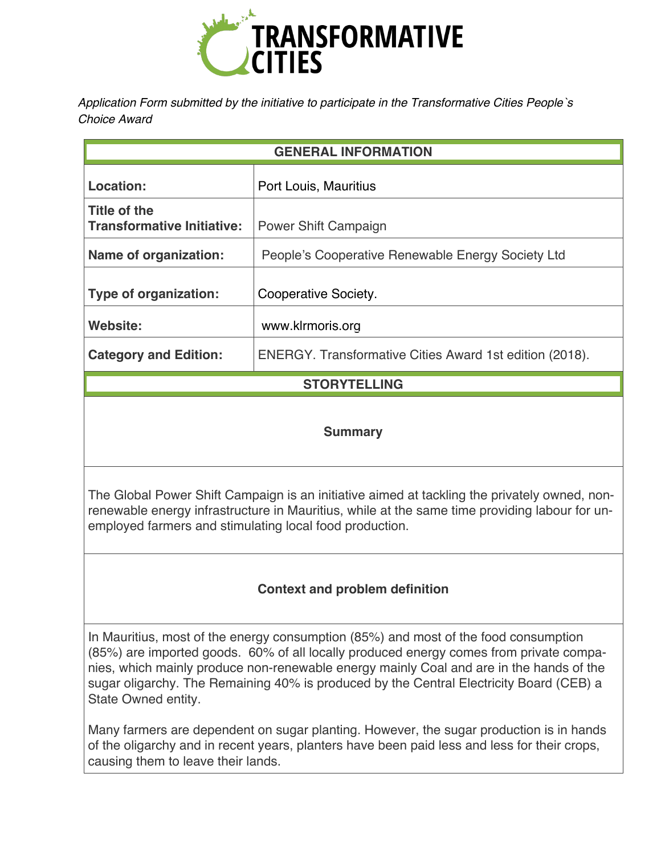

*Application Form submitted by the initiative to participate in the Transformative Cities People`s Choice Award* 

| <b>GENERAL INFORMATION</b>                        |                                                                |
|---------------------------------------------------|----------------------------------------------------------------|
| Location:                                         | Port Louis, Mauritius                                          |
| Title of the<br><b>Transformative Initiative:</b> | Power Shift Campaign                                           |
| <b>Name of organization:</b>                      | People's Cooperative Renewable Energy Society Ltd              |
| <b>Type of organization:</b>                      | Cooperative Society.                                           |
| Website:                                          | www.klrmoris.org                                               |
| <b>Category and Edition:</b>                      | <b>ENERGY.</b> Transformative Cities Award 1st edition (2018). |

# **STORYTELLING**

### **Summary**

The Global Power Shift Campaign is an initiative aimed at tackling the privately owned, nonrenewable energy infrastructure in Mauritius, while at the same time providing labour for unemployed farmers and stimulating local food production.

# **Context and problem definition**

In Mauritius, most of the energy consumption (85%) and most of the food consumption (85%) are imported goods. 60% of all locally produced energy comes from private companies, which mainly produce non-renewable energy mainly Coal and are in the hands of the sugar oligarchy. The Remaining 40% is produced by the Central Electricity Board (CEB) a State Owned entity.

Many farmers are dependent on sugar planting. However, the sugar production is in hands of the oligarchy and in recent years, planters have been paid less and less for their crops, causing them to leave their lands.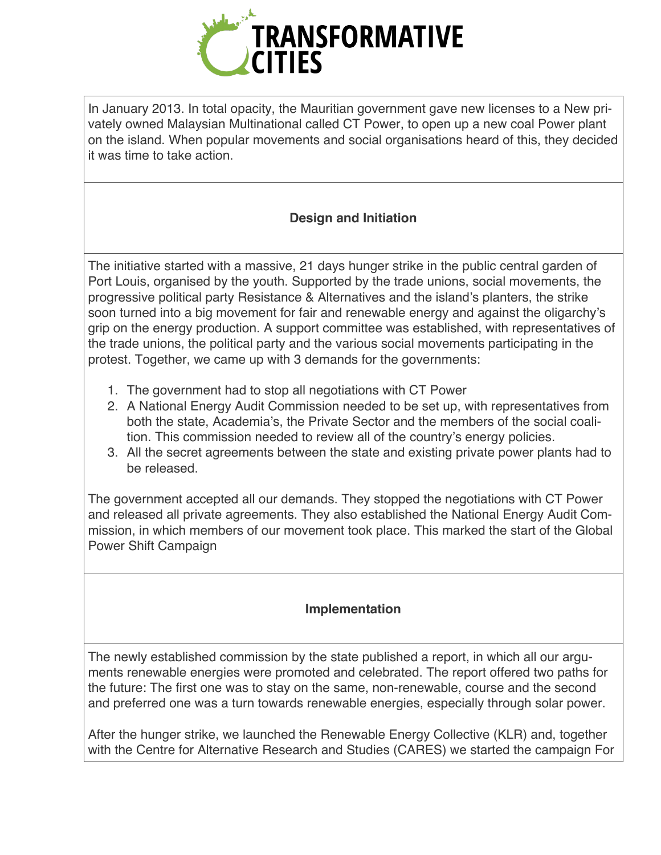

In January 2013. In total opacity, the Mauritian government gave new licenses to a New privately owned Malaysian Multinational called CT Power, to open up a new coal Power plant on the island. When popular movements and social organisations heard of this, they decided it was time to take action.

# **Design and Initiation**

The initiative started with a massive, 21 days hunger strike in the public central garden of Port Louis, organised by the youth. Supported by the trade unions, social movements, the progressive political party Resistance & Alternatives and the island's planters, the strike soon turned into a big movement for fair and renewable energy and against the oligarchy's grip on the energy production. A support committee was established, with representatives of the trade unions, the political party and the various social movements participating in the protest. Together, we came up with 3 demands for the governments:

- 1. The government had to stop all negotiations with CT Power
- 2. A National Energy Audit Commission needed to be set up, with representatives from both the state, Academia's, the Private Sector and the members of the social coalition. This commission needed to review all of the country's energy policies.
- 3. All the secret agreements between the state and existing private power plants had to be released.

The government accepted all our demands. They stopped the negotiations with CT Power and released all private agreements. They also established the National Energy Audit Commission, in which members of our movement took place. This marked the start of the Global Power Shift Campaign

# **Implementation**

The newly established commission by the state published a report, in which all our arguments renewable energies were promoted and celebrated. The report offered two paths for the future: The first one was to stay on the same, non-renewable, course and the second and preferred one was a turn towards renewable energies, especially through solar power.

After the hunger strike, we launched the Renewable Energy Collective (KLR) and, together with the Centre for Alternative Research and Studies (CARES) we started the campaign For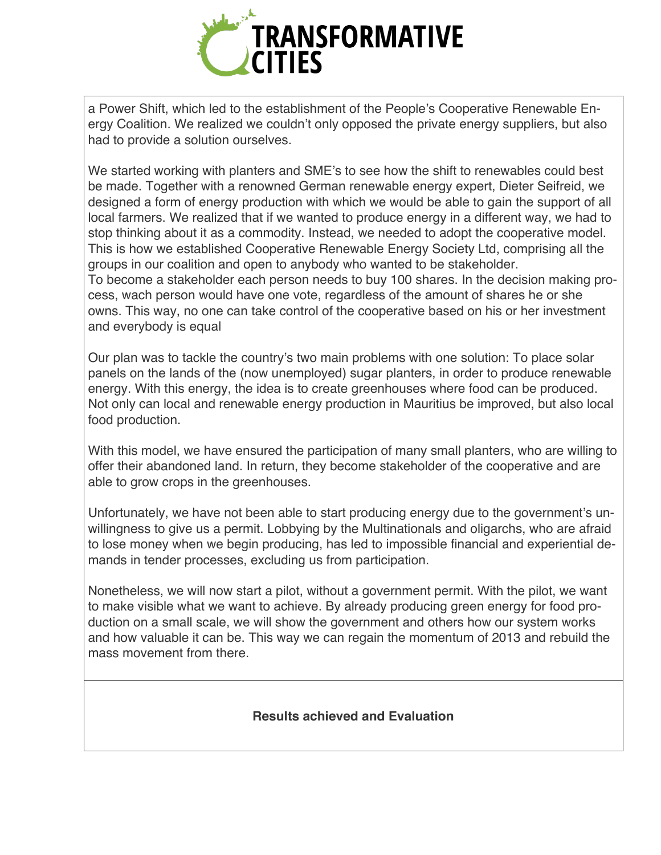

a Power Shift, which led to the establishment of the People's Cooperative Renewable Energy Coalition. We realized we couldn't only opposed the private energy suppliers, but also had to provide a solution ourselves.

We started working with planters and SME's to see how the shift to renewables could best be made. Together with a renowned German renewable energy expert, Dieter Seifreid, we designed a form of energy production with which we would be able to gain the support of all local farmers. We realized that if we wanted to produce energy in a different way, we had to stop thinking about it as a commodity. Instead, we needed to adopt the cooperative model. This is how we established Cooperative Renewable Energy Society Ltd, comprising all the groups in our coalition and open to anybody who wanted to be stakeholder. To become a stakeholder each person needs to buy 100 shares. In the decision making process, wach person would have one vote, regardless of the amount of shares he or she owns. This way, no one can take control of the cooperative based on his or her investment and everybody is equal

Our plan was to tackle the country's two main problems with one solution: To place solar panels on the lands of the (now unemployed) sugar planters, in order to produce renewable energy. With this energy, the idea is to create greenhouses where food can be produced. Not only can local and renewable energy production in Mauritius be improved, but also local food production.

With this model, we have ensured the participation of many small planters, who are willing to offer their abandoned land. In return, they become stakeholder of the cooperative and are able to grow crops in the greenhouses.

Unfortunately, we have not been able to start producing energy due to the government's unwillingness to give us a permit. Lobbying by the Multinationals and oligarchs, who are afraid to lose money when we begin producing, has led to impossible financial and experiential demands in tender processes, excluding us from participation.

Nonetheless, we will now start a pilot, without a government permit. With the pilot, we want to make visible what we want to achieve. By already producing green energy for food production on a small scale, we will show the government and others how our system works and how valuable it can be. This way we can regain the momentum of 2013 and rebuild the mass movement from there.

### **Results achieved and Evaluation**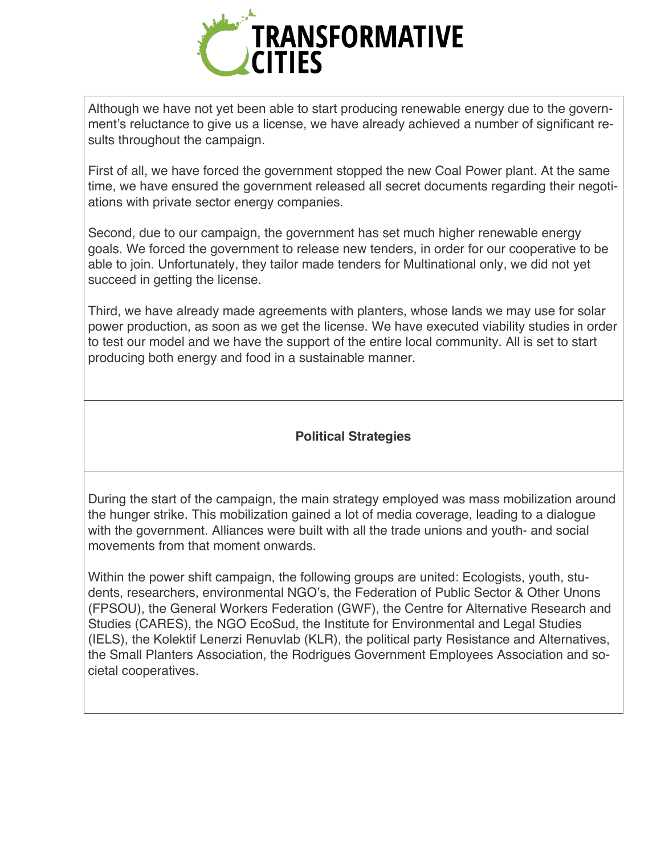

Although we have not yet been able to start producing renewable energy due to the government's reluctance to give us a license, we have already achieved a number of significant results throughout the campaign.

First of all, we have forced the government stopped the new Coal Power plant. At the same time, we have ensured the government released all secret documents regarding their negotiations with private sector energy companies.

Second, due to our campaign, the government has set much higher renewable energy goals. We forced the government to release new tenders, in order for our cooperative to be able to join. Unfortunately, they tailor made tenders for Multinational only, we did not yet succeed in getting the license.

Third, we have already made agreements with planters, whose lands we may use for solar power production, as soon as we get the license. We have executed viability studies in order to test our model and we have the support of the entire local community. All is set to start producing both energy and food in a sustainable manner.

### **Political Strategies**

During the start of the campaign, the main strategy employed was mass mobilization around the hunger strike. This mobilization gained a lot of media coverage, leading to a dialogue with the government. Alliances were built with all the trade unions and youth- and social movements from that moment onwards.

Within the power shift campaign, the following groups are united: Ecologists, youth, students, researchers, environmental NGO's, the Federation of Public Sector & Other Unons (FPSOU), the General Workers Federation (GWF), the Centre for Alternative Research and Studies (CARES), the NGO EcoSud, the Institute for Environmental and Legal Studies (IELS), the Kolektif Lenerzi Renuvlab (KLR), the political party Resistance and Alternatives, the Small Planters Association, the Rodrigues Government Employees Association and societal cooperatives.